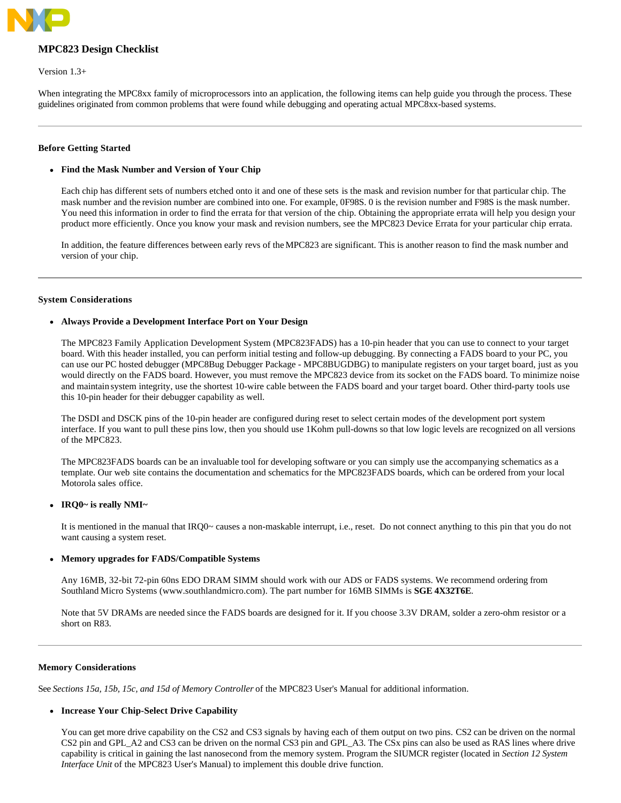

# **MPC823 Design Checklist**

Version 1.3+

When integrating the MPC8xx family of microprocessors into an application, the following items can help guide you through the process. These guidelines originated from common problems that were found while debugging and operating actual MPC8xx-based systems.

## **Before Getting Started**

## **Find the Mask Number and Version of Your Chip**

Each chip has different sets of numbers etched onto it and one of these sets is the mask and revision number for that particular chip. The mask number and the revision number are combined into one. For example, 0F98S. 0 is the revision number and F98S is the mask number. You need this information in order to find the errata for that version of the chip. Obtaining the appropriate errata will help you design your product more efficiently. Once you know your mask and revision numbers, see the MPC823 Device Errata for your particular chip errata.

In addition, the feature differences between early revs of theMPC823 are significant. This is another reason to find the mask number and version of your chip.

### **System Considerations**

# **Always Provide a Development Interface Port on Your Design**

The MPC823 Family Application Development System (MPC823FADS) has a 10-pin header that you can use to connect to your target board. With this header installed, you can perform initial testing and follow-up debugging. By connecting a FADS board to your PC, you can use our PC hosted debugger (MPC8Bug Debugger Package - MPC8BUGDBG) to manipulate registers on your target board, just as you would directly on the FADS board. However, you must remove the MPC823 device from its socket on the FADS board. To minimize noise and maintain system integrity, use the shortest 10-wire cable between the FADS board and your target board. Other third-party tools use this 10-pin header for their debugger capability as well.

The DSDI and DSCK pins of the 10-pin header are configured during reset to select certain modes of the development port system interface. If you want to pull these pins low, then you should use 1Kohm pull-downs so that low logic levels are recognized on all versions of the MPC823.

The MPC823FADS boards can be an invaluable tool for developing software or you can simply use the accompanying schematics as a template. Our web site contains the documentation and schematics for the MPC823FADS boards, which can be ordered from your local Motorola sales office.

### **IRQ0~ is really NMI~**

It is mentioned in the manual that IRQ0~ causes a non-maskable interrupt, i.e., reset. Do not connect anything to this pin that you do not want causing a system reset.

### **Memory upgrades for FADS/Compatible Systems**

Any 16MB, 32-bit 72-pin 60ns EDO DRAM SIMM should work with our ADS or FADS systems. We recommend ordering from Southland Micro Systems (www.southlandmicro.com). The part number for 16MB SIMMs is **SGE 4X32T6E**.

Note that 5V DRAMs are needed since the FADS boards are designed for it. If you choose 3.3V DRAM, solder a zero-ohm resistor or a short on R83.

### **Memory Considerations**

See *Sections 15a, 15b, 15c, and 15d of Memory Controller* of the MPC823 User's Manual for additional information.

## **Increase Your Chip-Select Drive Capability**

You can get more drive capability on the CS2 and CS3 signals by having each of them output on two pins. CS2 can be driven on the normal CS2 pin and GPL\_A2 and CS3 can be driven on the normal CS3 pin and GPL\_A3. The CSx pins can also be used as RAS lines where drive capability is critical in gaining the last nanosecond from the memory system. Program the SIUMCR register (located in *Section 12 System*  Interface Unit of the MPC823 User's Manual) to implement this double drive function.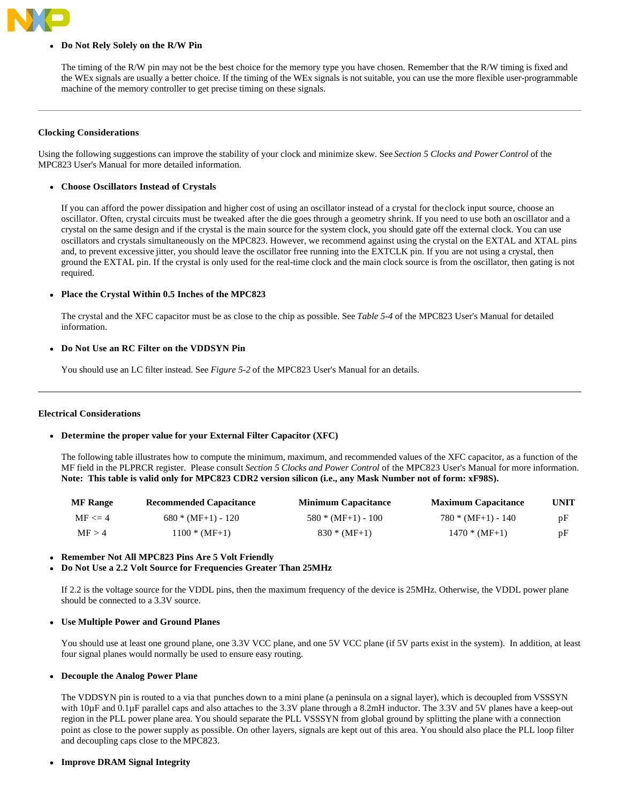

# **Do Not Rely Solely on the R/W Pin**

The timing of the R/W pin may not be the best choice for the memory type you have chosen. Remember that the R/W timing is fixed and the WEx signals are usually a better choice. If the timing of the WEx signals is not suitable, you can use the more flexible user-programmable machine of the memory controller to get precise timing on these signals.

### **Clocking Considerations**

Using the following suggestions can improve the stability of your clock and minimize skew. See Section 5 Clocks and Power Control of the MPC823 User's Manual for more detailed information.

### **Choose Oscillators Instead of Crystals**

If you can afford the power dissipation and higher cost of using an oscillator instead of a crystal for the clock input source, choose an oscillator. Often, crystal circuits must be tweaked after the die goes through a geometry shrink. If you need to use both an oscillator and a crystal on the same design and if the crystal is the main source for the system clock, you should gate off the external clock. You can use oscillators and crystals simultaneously on the MPC823. However, we recommend against using the crystal on the EXTAL and XTAL pins and, to prevent excessive jitter, you should leave the oscillator free running into the EXTCLK pin. If you are not using a crystal, then ground the EXTAL pin. If the crystal is only used for the real-time clock and the main clock source is from the oscillator, then gating is not required.

### **Place the Crystal Within 0.5 Inches of the MPC823**

The crystal and the XFC capacitor must be as close to the chip as possible. See Table 5-4 of the MPC823 User's Manual for detailed information.

### **Do Not Use an RC Filter on the VDDSYN Pin**

You should use an LC filter instead. See *Figure 5-2* of the MPC823 User's Manual for an details.

#### **Electrical Considerations**

### **Determine the proper value for your External Filter Capacitor (XFC)**

The following table illustrates how to compute the minimum, maximum, and recommended values of the XFC capacitor, as a function of the MF field in the PLPRCR register. Please consult *Section 5 Clocks and Power Control* of the MPC823 User's Manual for more information. **Note: This table is valid only for MPC823 CDR2 version silicon (i.e., any Mask Number not of form: xF98S).**

| <b>MF</b> Range | <b>Recommended Capacitance</b> | <b>Minimum Capacitance</b> | <b>Maximum Capacitance</b> | <b>UNIT</b> |
|-----------------|--------------------------------|----------------------------|----------------------------|-------------|
| $MF \leq 4$     | $680 * (MF+1) - 120$           | $580 * (MF+1) - 100$       | $780 * (MF+1) - 140$       | pF          |
| MF > 4          | $1100 * (MF+1)$                | $830 * (MF+1)$             | $1470 * (MF+1)$            | pF          |

#### **Remember Not All MPC823 Pins Are 5 Volt Friendly**

### **Do Not Use a 2.2 Volt Source for Frequencies Greater Than 25MHz**

If 2.2 is the voltage source for the VDDL pins, then the maximum frequency of the device is 25MHz. Otherwise, the VDDL power plane should be connected to a 3.3V source.

### **Use Multiple Power and Ground Planes**

You should use at least one ground plane, one 3.3V VCC plane, and one 5V VCC plane (if 5V parts exist in the system). In addition, at least four signal planes would normally be used to ensure easy routing.

#### **Decouple the Analog Power Plane**

The VDDSYN pin is routed to a via that punches down to a mini plane (a peninsula on a signal layer), which is decoupled from VSSSYN with  $10\mu$ F and  $0.1\mu$ F parallel caps and also attaches to the 3.3V plane through a 8.2mH inductor. The 3.3V and 5V planes have a keep-out region in the PLL power plane area. You should separate the PLL VSSSYN from global ground by splitting the plane with a connection point as close to the power supply as possible. On other layers, signals are kept out of this area. You should also place the PLL loop filter and decoupling caps close to the MPC823.

### **Improve DRAM Signal Integrity**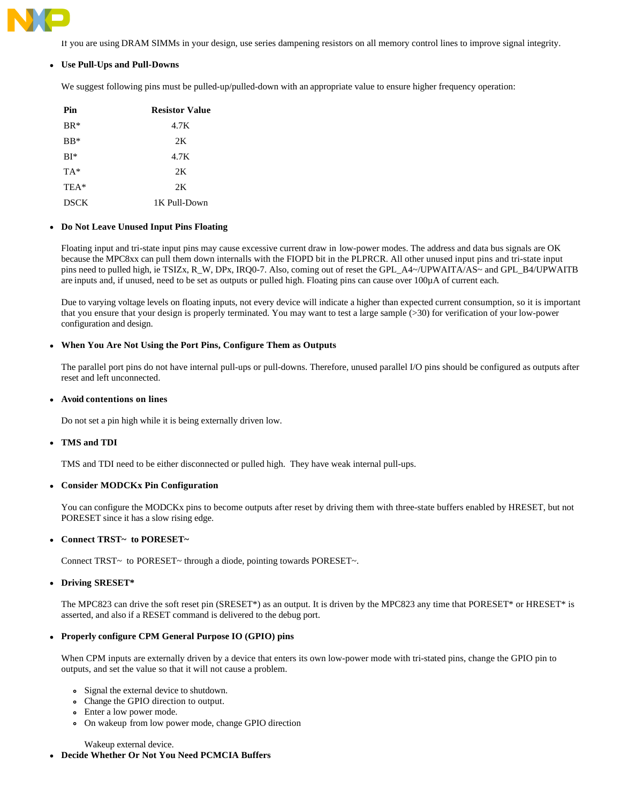

If you are using DRAM SIMMs in your design, use series dampening resistors on all memory control lines to improve signal integrity.

# **Use Pull-Ups and Pull-Downs**

We suggest following pins must be pulled-up/pulled-down with an appropriate value to ensure higher frequency operation:

| Pin         | <b>Resistor Value</b> |
|-------------|-----------------------|
| $BR*$       | 4.7K                  |
| $BB*$       | 2K                    |
| $BI*$       | 4.7K                  |
| $TA^*$      | 2K                    |
| TEA*        | 2K                    |
| <b>DSCK</b> | 1K Pull-Down          |

# **Do Not Leave Unused Input Pins Floating**

Floating input and tri-state input pins may cause excessive current draw in low-power modes. The address and data bus signals are OK because the MPC8xx can pull them down internalls with the FIOPD bit in the PLPRCR. All other unused input pins and tri-state input pins need to pulled high, ie TSIZx, R\_W, DPx, IRQ0-7. Also, coming out of reset the GPL\_A4~/UPWAITA/AS~ and GPL\_B4/UPWAITB are inputs and, if unused, need to be set as outputs or pulled high. Floating pins can cause over 100µA of current each.

Due to varying voltage levels on floating inputs, not every device will indicate a higher than expected current consumption, so it is important that you ensure that your design is properly terminated. You may want to test a large sample (>30) for verification of your low-power configuration and design.

# **When You Are Not Using the Port Pins, Configure Them as Outputs**

The parallel port pins do not have internal pull-ups or pull-downs. Therefore, unused parallel I/O pins should be configured as outputs after reset and left unconnected.

### **Avoid contentions on lines**

Do not set a pin high while it is being externally driven low.

### **TMS and TDI**

TMS and TDI need to be either disconnected or pulled high. They have weak internal pull-ups.

# **Consider MODCKx Pin Configuration**

You can configure the MODCKx pins to become outputs after reset by driving them with three-state buffers enabled by HRESET, but not PORESET since it has a slow rising edge.

# **Connect TRST~ to PORESET~**

Connect TRST~ to PORESET~ through a diode, pointing towards PORESET~.

### **Driving SRESET\***

The MPC823 can drive the soft reset pin (SRESET\*) as an output. It is driven by the MPC823 any time that PORESET\* or HRESET\* is asserted, and also if a RESET command is delivered to the debug port.

# **Properly configure CPM General Purpose IO (GPIO) pins**

When CPM inputs are externally driven by a device that enters its own low-power mode with tri-stated pins, change the GPIO pin to outputs, and set the value so that it will not cause a problem.

- Signal the external device to shutdown.
- Change the GPIO direction to output.
- Enter a low power mode.
- On wakeup from low power mode, change GPIO direction

Wakeup external device.

# **Decide Whether Or Not You Need PCMCIA Buffers**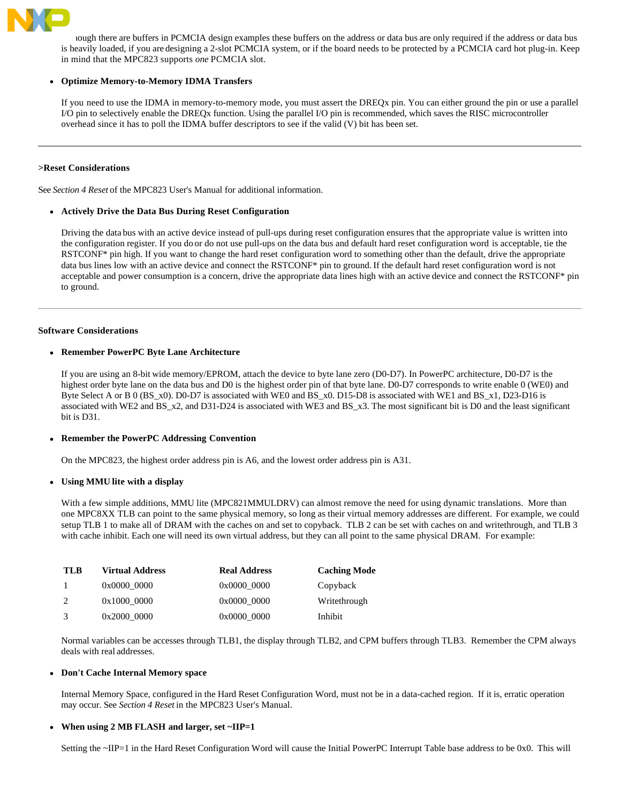

hough there are buffers in PCMCIA design examples these buffers on the address or data bus are only required if the address or data bus is heavily loaded, if you are designing a 2-slot PCMCIA system, or if the board needs to be protected by a PCMCIA card hot plug-in. Keep in mind that the MPC823 supports *one* PCMCIA slot.

## **Optimize Memory-to-Memory IDMA Transfers**

If you need to use the IDMA in memory-to-memory mode, you must assert the DREQx pin. You can either ground the pin or use a parallel I/O pin to selectively enable the DREQx function. Using the parallel I/O pin is recommended, which saves the RISC microcontroller overhead since it has to poll the IDMA buffer descriptors to see if the valid (V) bit has been set.

## **>Reset Considerations**

See *Section 4 Reset* of the MPC823 User's Manual for additional information.

### **Actively Drive the Data Bus During Reset Configuration**

Driving the data bus with an active device instead of pull-ups during reset configuration ensures that the appropriate value is written into the configuration register. If you do or do not use pull-ups on the data bus and default hard reset configuration word is acceptable, tie the RSTCONF\* pin high. If you want to change the hard reset configuration word to something other than the default, drive the appropriate data bus lines low with an active device and connect the RSTCONF\* pin to ground. If the default hard reset configuration word is not acceptable and power consumption is a concern, drive the appropriate data lines high with an active device and connect the RSTCONF\* pin to ground.

# **Software Considerations**

# **Remember PowerPC Byte Lane Architecture**

If you are using an 8-bit wide memory/EPROM, attach the device to byte lane zero (D0-D7). In PowerPC architecture, D0-D7 is the highest order byte lane on the data bus and D0 is the highest order pin of that byte lane. D0-D7 corresponds to write enable 0 (WE0) and Byte Select A or B 0 (BS\_x0). D0-D7 is associated with WE0 and BS\_x0. D15-D8 is associated with WE1 and BS\_x1, D23-D16 is associated with WE2 and BS\_x2, and D31-D24 is associated with WE3 and BS\_x3. The most significant bit is D0 and the least significant bit is D31.

### **Remember the PowerPC Addressing Convention**

On the MPC823, the highest order address pin is A6, and the lowest order address pin is A31.

### **Using MMU lite with a display**

With a few simple additions, MMU lite (MPC821MMULDRV) can almost remove the need for using dynamic translations. More than one MPC8XX TLB can point to the same physical memory, so long as their virtual memory addresses are different. For example, we could setup TLB 1 to make all of DRAM with the caches on and set to copyback. TLB 2 can be set with caches on and writethrough, and TLB 3 with cache inhibit. Each one will need its own virtual address, but they can all point to the same physical DRAM. For example:

| <b>TLB</b> | <b>Virtual Address</b> | <b>Real Address</b> | <b>Caching Mode</b> |
|------------|------------------------|---------------------|---------------------|
| -1         | 0x0000 0000            | 0x0000 0000         | Copyback            |
| 2          | 0x1000 0000            | 0x0000 0000         | Writethrough        |
| 3          | 0x2000 0000            | 0x0000 0000         | Inhibit             |

Normal variables can be accesses through TLB1, the display through TLB2, and CPM buffers through TLB3. Remember the CPM always deals with real addresses.

### **Don't Cache Internal Memory space**

Internal Memory Space, configured in the Hard Reset Configuration Word, must not be in a data-cached region. If it is, erratic operation may occur. See *Section 4 Reset* in the MPC823 User's Manual.

### **When using 2 MB FLASH and larger, set ~IIP=1**

Setting the ~IIP=1 in the Hard Reset Configuration Word will cause the Initial PowerPC Interrupt Table base address to be 0x0. This will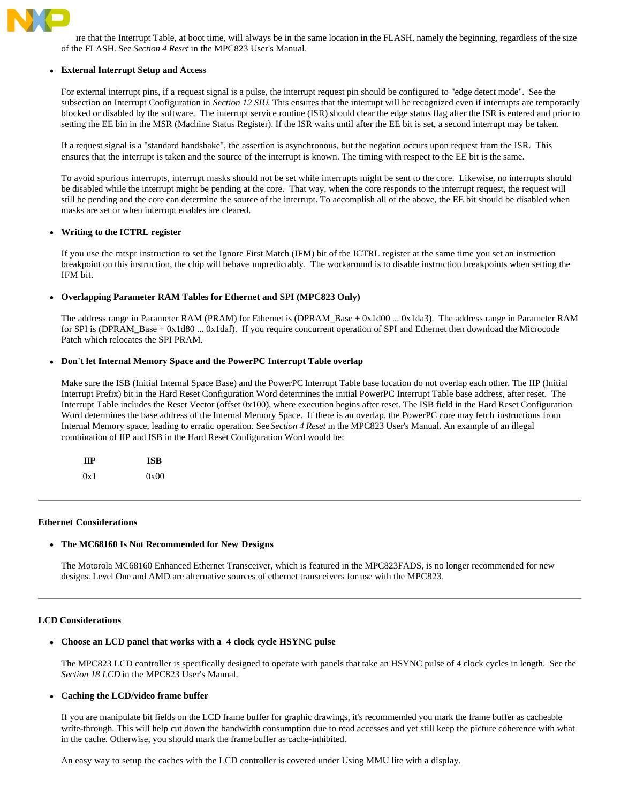

In that the Interrupt Table, at boot time, will always be in the same location in the FLASH, namely the beginning, regardless of the size of the FLASH. See *Section 4 Reset* in the MPC823 User's Manual.

## **External Interrupt Setup and Access**

For external interrupt pins, if a request signal is a pulse, the interrupt request pin should be configured to "edge detect mode". See the subsection on Interrupt Configuration in Section 12 SIU. This ensures that the interrupt will be recognized even if interrupts are temporarily blocked or disabled by the software. The interrupt service routine (ISR) should clear the edge status flag after the ISR is entered and prior to setting the EE bin in the MSR (Machine Status Register). If the ISR waits until after the EE bit is set, a second interrupt may be taken.

If a request signal is a "standard handshake", the assertion is asynchronous, but the negation occurs upon request from the ISR. This ensures that the interrupt is taken and the source of the interrupt is known. The timing with respect to the EE bit is the same.

To avoid spurious interrupts, interrupt masks should not be set while interrupts might be sent to the core. Likewise, no interrupts should be disabled while the interrupt might be pending at the core. That way, when the core responds to the interrupt request, the request will still be pending and the core can determine the source of the interrupt. To accomplish all of the above, the EE bit should be disabled when masks are set or when interrupt enables are cleared.

# **Writing to the ICTRL register**

If you use the mtspr instruction to set the Ignore First Match (IFM) bit of the ICTRL register at the same time you set an instruction breakpoint on this instruction, the chip will behave unpredictably. The workaround is to disable instruction breakpoints when setting the IFM bit.

# **Overlapping Parameter RAM Tables for Ethernet and SPI (MPC823 Only)**

The address range in Parameter RAM (PRAM) for Ethernet is (DPRAM\_Base + 0x1d00 ... 0x1da3). The address range in Parameter RAM for SPI is (DPRAM\_Base + 0x1d80 ... 0x1daf). If you require concurrent operation of SPI and Ethernet then download the Microcode Patch which relocates the SPI PRAM.

# **Don't let Internal Memory Space and the PowerPC Interrupt Table overlap**

Make sure the ISB (Initial Internal Space Base) and the PowerPC Interrupt Table base location do not overlap each other. The IIP (Initial Interrupt Prefix) bit in the Hard Reset Configuration Word determines the initial PowerPC Interrupt Table base address, after reset. The Interrupt Table includes the Reset Vector (offset 0x100), where execution begins after reset. The ISB field in the Hard Reset Configuration Word determines the base address of the Internal Memory Space. If there is an overlap, the PowerPC core may fetch instructions from Internal Memory space, leading to erratic operation. See Section 4 Reset in the MPC823 User's Manual. An example of an illegal combination of IIP and ISB in the Hard Reset Configuration Word would be:

| ПP  | <b>ISB</b> |
|-----|------------|
| 0x1 | 0x00       |

### **Ethernet Considerations**

### **The MC68160 Is Not Recommended for New Designs**

The Motorola MC68160 Enhanced Ethernet Transceiver, which is featured in the MPC823FADS, is no longer recommended for new designs. Level One and AMD are alternative sources of ethernet transceivers for use with the MPC823.

### **LCD Considerations**

### **Choose an LCD panel that works with a 4 clock cycle HSYNC pulse**

The MPC823 LCD controller is specifically designed to operate with panels that take an HSYNC pulse of 4 clock cycles in length. See the *Section 18 LCD* in the MPC823 User's Manual.

# **Caching the LCD/video frame buffer**

If you are manipulate bit fields on the LCD frame buffer for graphic drawings, it's recommended you mark the frame buffer as cacheable write-through. This will help cut down the bandwidth consumption due to read accesses and yet still keep the picture coherence with what in the cache. Otherwise, you should mark the frame buffer as cache-inhibited.

An easy way to setup the caches with the LCD controller is covered under Using MMU lite with a display.